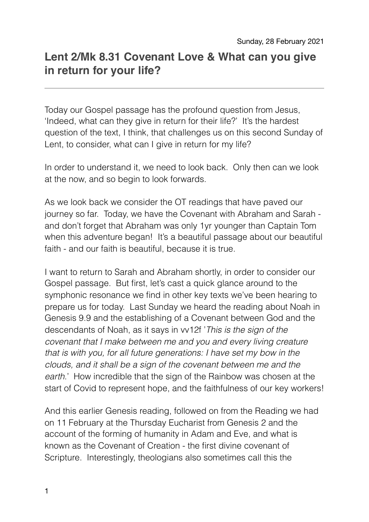## **Lent 2/Mk 8.31 Covenant Love & What can you give in return for your life?**

Today our Gospel passage has the profound question from Jesus, 'Indeed, what can they give in return for their life?' It's the hardest question of the text, I think, that challenges us on this second Sunday of Lent, to consider, what can I give in return for my life?

In order to understand it, we need to look back. Only then can we look at the now, and so begin to look forwards.

As we look back we consider the OT readings that have paved our journey so far. Today, we have the Covenant with Abraham and Sarah and don't forget that Abraham was only 1yr younger than Captain Tom when this adventure began! It's a beautiful passage about our beautiful faith - and our faith is beautiful, because it is true.

I want to return to Sarah and Abraham shortly, in order to consider our Gospel passage. But first, let's cast a quick glance around to the symphonic resonance we find in other key texts we've been hearing to prepare us for today. Last Sunday we heard the reading about Noah in Genesis 9.9 and the establishing of a Covenant between God and the descendants of Noah, as it says in vv12f '*This is the sign of the covenant that I make between me and you and every living creature that is with you, for all future generations: I have set my bow in the clouds, and it shall be a sign of the covenant between me and the earth*.' How incredible that the sign of the Rainbow was chosen at the start of Covid to represent hope, and the faithfulness of our key workers!

And this earlier Genesis reading, followed on from the Reading we had on 11 February at the Thursday Eucharist from Genesis 2 and the account of the forming of humanity in Adam and Eve, and what is known as the Covenant of Creation - the first divine covenant of Scripture. Interestingly, theologians also sometimes call this the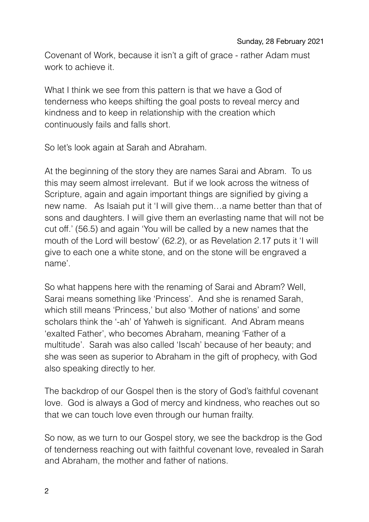Covenant of Work, because it isn't a gift of grace - rather Adam must work to achieve it.

What I think we see from this pattern is that we have a God of tenderness who keeps shifting the goal posts to reveal mercy and kindness and to keep in relationship with the creation which continuously fails and falls short.

So let's look again at Sarah and Abraham.

At the beginning of the story they are names Sarai and Abram. To us this may seem almost irrelevant. But if we look across the witness of Scripture, again and again important things are signified by giving a new name. As Isaiah put it 'I will give them…a name better than that of sons and daughters. I will give them an everlasting name that will not be cut off.' (56.5) and again 'You will be called by a new names that the mouth of the Lord will bestow' (62.2), or as Revelation 2.17 puts it 'I will give to each one a white stone, and on the stone will be engraved a name'.

So what happens here with the renaming of Sarai and Abram? Well, Sarai means something like 'Princess'. And she is renamed Sarah, which still means 'Princess,' but also 'Mother of nations' and some scholars think the '-ah' of Yahweh is significant. And Abram means 'exalted Father', who becomes Abraham, meaning 'Father of a multitude'. Sarah was also called 'Iscah' because of her beauty; and she was seen as superior to Abraham in the gift of prophecy, with God also speaking directly to her.

The backdrop of our Gospel then is the story of God's faithful covenant love. God is always a God of mercy and kindness, who reaches out so that we can touch love even through our human frailty.

So now, as we turn to our Gospel story, we see the backdrop is the God of tenderness reaching out with faithful covenant love, revealed in Sarah and Abraham, the mother and father of nations.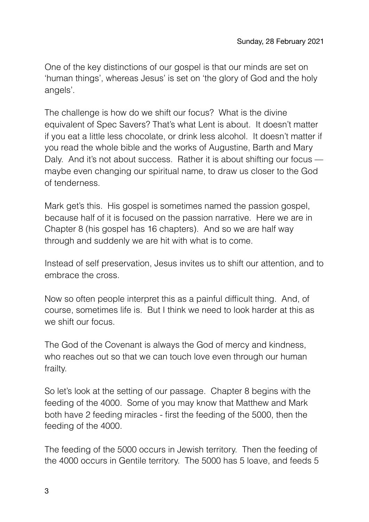One of the key distinctions of our gospel is that our minds are set on 'human things', whereas Jesus' is set on 'the glory of God and the holy angels'.

The challenge is how do we shift our focus? What is the divine equivalent of Spec Savers? That's what Lent is about. It doesn't matter if you eat a little less chocolate, or drink less alcohol. It doesn't matter if you read the whole bible and the works of Augustine, Barth and Mary Daly. And it's not about success. Rather it is about shifting our focus maybe even changing our spiritual name, to draw us closer to the God of tenderness.

Mark get's this. His gospel is sometimes named the passion gospel, because half of it is focused on the passion narrative. Here we are in Chapter 8 (his gospel has 16 chapters). And so we are half way through and suddenly we are hit with what is to come.

Instead of self preservation, Jesus invites us to shift our attention, and to embrace the cross.

Now so often people interpret this as a painful difficult thing. And, of course, sometimes life is. But I think we need to look harder at this as we shift our focus.

The God of the Covenant is always the God of mercy and kindness, who reaches out so that we can touch love even through our human frailty.

So let's look at the setting of our passage. Chapter 8 begins with the feeding of the 4000. Some of you may know that Matthew and Mark both have 2 feeding miracles - first the feeding of the 5000, then the feeding of the 4000.

The feeding of the 5000 occurs in Jewish territory. Then the feeding of the 4000 occurs in Gentile territory. The 5000 has 5 loave, and feeds 5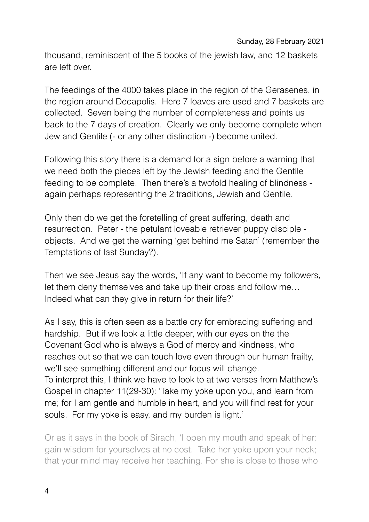## Sunday, 28 February 2021

thousand, reminiscent of the 5 books of the jewish law, and 12 baskets are left over.

The feedings of the 4000 takes place in the region of the Gerasenes, in the region around Decapolis. Here 7 loaves are used and 7 baskets are collected. Seven being the number of completeness and points us back to the 7 days of creation. Clearly we only become complete when Jew and Gentile (- or any other distinction -) become united.

Following this story there is a demand for a sign before a warning that we need both the pieces left by the Jewish feeding and the Gentile feeding to be complete. Then there's a twofold healing of blindness again perhaps representing the 2 traditions, Jewish and Gentile.

Only then do we get the foretelling of great suffering, death and resurrection. Peter - the petulant loveable retriever puppy disciple objects. And we get the warning 'get behind me Satan' (remember the Temptations of last Sunday?).

Then we see Jesus say the words, 'If any want to become my followers, let them deny themselves and take up their cross and follow me… Indeed what can they give in return for their life?'

As I say, this is often seen as a battle cry for embracing suffering and hardship. But if we look a little deeper, with our eyes on the the Covenant God who is always a God of mercy and kindness, who reaches out so that we can touch love even through our human frailty, we'll see something different and our focus will change. To interpret this, I think we have to look to at two verses from Matthew's Gospel in chapter 11(29-30): 'Take my yoke upon you, and learn from me; for I am gentle and humble in heart, and you will find rest for your souls. For my yoke is easy, and my burden is light.'

Or as it says in the book of Sirach, 'I open my mouth and speak of her: gain wisdom for yourselves at no cost. Take her yoke upon your neck; that your mind may receive her teaching. For she is close to those who